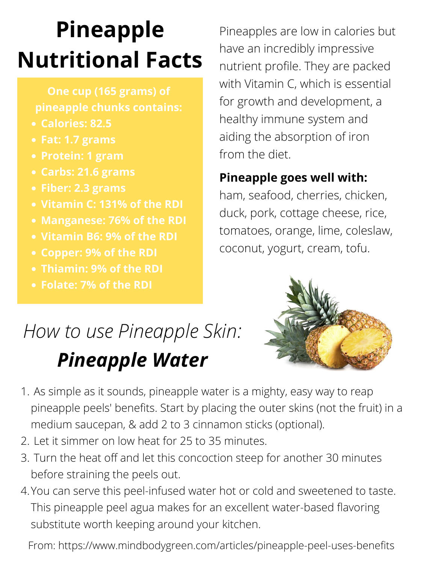# **Pineapple Nutritional Facts**

- **Calories: 82.5**
- **Fat: 1.7 grams**
- **Protein: 1 gram**
- **Carbs: 21.6 grams**
- **Fiber: 2.3 grams**
- **Vitamin C: 131% of the RDI**
- **Manganese: 76% of the RDI**
- **Vitamin B6: 9% of the RDI**
- **Copper: 9% of the RDI**
- **Thiamin: 9% of the RDI**
- **Folate: 7% of the RDI**

**One cup (165 grams) of pineapple chunks contains:**

Pineapples are low in calories but have an incredibly impressive nutrient profile. They are packed with Vitamin C, which is essential for growth and development, a healthy immune system and aiding the absorption of iron from the diet.

#### **Pineapple goes well with:**

ham, seafood, cherries, chicken, duck, pork, cottage cheese, rice, tomatoes, orange, lime, coleslaw, coconut, yogurt, cream, tofu.



- As simple as it sounds, pineapple water is a mighty, easy way to reap 1. pineapple peels' benefits. Start by placing the outer skins (not the fruit) in a medium saucepan, & add 2 to 3 [cinnamon](https://www.mindbodygreen.com/articles/cinnamon-type-2-diabetes-study) sticks (optional).
- 2. Let it simmer on low heat for 25 to 35 minutes.
- Turn the heat off and let this concoction steep for another 30 minutes 3. before straining the peels out.
- 4. You can serve this peel-infused water hot or cold and [sweetened](https://www.mindbodygreen.com/articles/best-keto-diet-friendly-sweeteners-xylitol-stevia-and-more) to taste. This pineapple peel agua makes for an excellent water-based flavoring substitute worth keeping around your kitchen.

From: https://www.mindbodygreen.com/articles/pineapple-peel-uses-benefits

# *How to use Pineapple Skin: Pineapple Water*